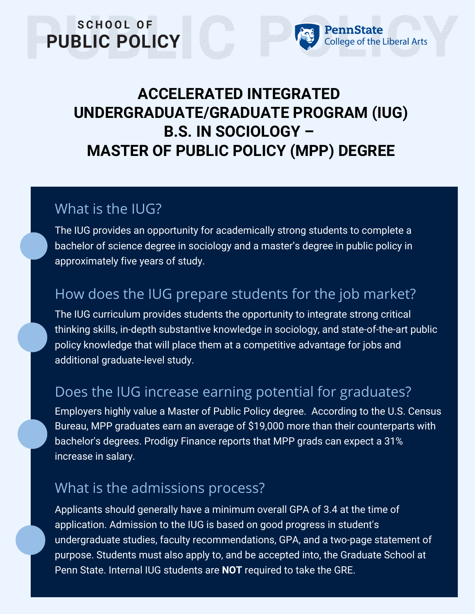## **ACCELERATED INTEGRATED UNDERGRADUATE/GRADUATE PROGRAM (IUG) B.S. IN SOCIOLOGY – MASTER OF PUBLIC POLICY (MPP) DEGREE**

PennState

College of the Liberal Arts

### What is the IUG?

SCHOOL OF

**PUBLIC POLICY** 

The IUG provides an opportunity for academically strong students to complete a bachelor of science degree in sociology and a master's degree in public policy in approximately five years of study.

### How does the IUG prepare students for the job market?

The IUG curriculum provides students the opportunity to integrate strong critical thinking skills, in-depth substantive knowledge in sociology, and state-of-the-art public policy knowledge that will place them at a competitive advantage for jobs and additional graduate-level study.

#### Does the IUG increase earning potential for graduates?

Employers highly value a Master of Public Policy degree. According to the U.S. Census Bureau, MPP graduates earn an average of \$19,000 more than their counterparts with bachelor's degrees. Prodigy Finance reports that MPP grads can expect a 31% increase in salary.

#### What is the admissions process?

Applicants should generally have a minimum overall GPA of 3.4 at the time of application. Admission to the IUG is based on good progress in student's undergraduate studies, faculty recommendations, GPA, and a two-page statement of purpose. Students must also apply to, and be accepted into, the Graduate School at Penn State. Internal IUG students are **NOT** required to take the GRE.